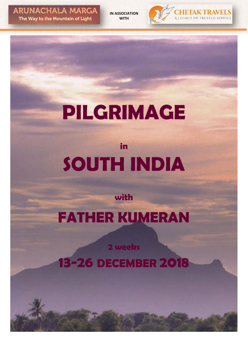**ARUNACHALA MARGA** The Way to the Mountain of Light

**IN ASSOCIATION WITH**



# **PILGRIMAGE**

## **in SOUTH INDIA**

#### **with**

## **FATHER KUMERAN**

**2 weeks**

**13-26 DECEMBER 2018**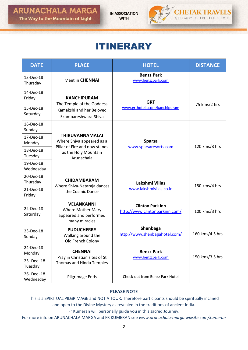**IN ASSOCIATION WITH**



### ITINERARY

| <b>DATE</b>              | <b>PLACE</b>                                                                         | <b>HOTEL</b>                                              | <b>DISTANCE</b> |  |
|--------------------------|--------------------------------------------------------------------------------------|-----------------------------------------------------------|-----------------|--|
| 13-Dec-18<br>Thursday    | Meet in <b>CHENNAI</b>                                                               | <b>Benzz Park</b><br>www.benzzpark.com                    |                 |  |
| 14-Dec-18<br>Friday      | <b>KANCHIPURAM</b>                                                                   | <b>GRT</b>                                                |                 |  |
| 15-Dec-18<br>Saturday    | The Temple of the Goddess<br>Kamakshi and her Beloved<br>Ekambareshwara-Shiva        | www.grthotels.com/kanchipuram                             | 75 kms/2 hrs    |  |
| 16-Dec-18<br>Sunday      |                                                                                      |                                                           |                 |  |
| 17-Dec-18<br>Monday      | <b>THIRUVANNAMALAI</b><br>Where Shiva appeared as a<br>Pillar of Fire and now stands | <b>Sparsa</b><br>www.sparsaresorts.com                    | 120 kms/3 hrs   |  |
| 18-Dec-18<br>Tuesday     | as the Holy Mountain<br>Arunachala                                                   |                                                           |                 |  |
| 19-Dec-18<br>Wednesday   |                                                                                      |                                                           |                 |  |
| 20-Dec-18<br>Thursday    | <b>CHIDAMBARAM</b>                                                                   | Lakshmi Villas                                            | 150 kms/4 hrs   |  |
| 21-Dec-18<br>Friday      | Where Shiva-Nataraja dances<br>the Cosmic Dance                                      | www.lakshmivilas.co.in                                    |                 |  |
| 22-Dec-18<br>Saturday    | <b>VELANKANNI</b><br>Where Mother Mary<br>appeared and performed<br>many miracles    | <b>Clinton Park Inn</b><br>http://www.clintonparkinn.com/ | 100 kms/3 hrs   |  |
| 23-Dec-18<br>Sunday      | <b>PUDUCHERRY</b><br>Walking around the<br>Old French Colony                         | Shenbaga<br>http://www.shenbagahotel.com/                 | 160 kms/4.5 hrs |  |
| 24-Dec-18<br>Monday      | <b>CHENNAI</b>                                                                       | <b>Benzz Park</b>                                         | 150 kms/3.5 hrs |  |
| 25- Dec -18<br>Tuesday   | Pray in Christian sites of St<br>Thomas and Hindu Temples                            | www.benzzpark.com                                         |                 |  |
| 26- Dec -18<br>Wednesday | Pilgrimage Ends                                                                      | Check-out from Benzz Park Hotel                           |                 |  |

#### **PLEASE NOTE**

This is a SPIRITUAL PILGRIMAGE and NOT A TOUR. Therefore participants should be spiritually inclined and open to the Divine Mystery as revealed in the traditions of ancient India.

Fr Kumeran will personally guide you in this sacred Journey.

For more info on ARUNACHALA MARGA and FR KUMERAN see *www.arunachala-marga.wixsite.com/kumeran*